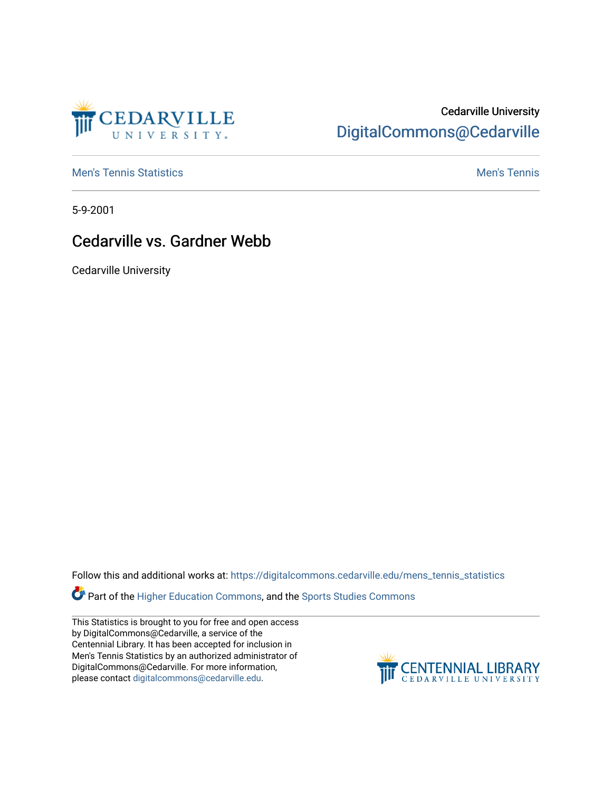

## Cedarville University [DigitalCommons@Cedarville](https://digitalcommons.cedarville.edu/)

**[Men's Tennis Statistics](https://digitalcommons.cedarville.edu/mens_tennis_statistics) Mental According to the Control of Control According Mental Men's Tennis** 

5-9-2001

## Cedarville vs. Gardner Webb

Cedarville University

Follow this and additional works at: [https://digitalcommons.cedarville.edu/mens\\_tennis\\_statistics](https://digitalcommons.cedarville.edu/mens_tennis_statistics?utm_source=digitalcommons.cedarville.edu%2Fmens_tennis_statistics%2F475&utm_medium=PDF&utm_campaign=PDFCoverPages)

Part of the [Higher Education Commons,](http://network.bepress.com/hgg/discipline/1245?utm_source=digitalcommons.cedarville.edu%2Fmens_tennis_statistics%2F475&utm_medium=PDF&utm_campaign=PDFCoverPages) and the [Sports Studies Commons](http://network.bepress.com/hgg/discipline/1198?utm_source=digitalcommons.cedarville.edu%2Fmens_tennis_statistics%2F475&utm_medium=PDF&utm_campaign=PDFCoverPages) 

This Statistics is brought to you for free and open access by DigitalCommons@Cedarville, a service of the Centennial Library. It has been accepted for inclusion in Men's Tennis Statistics by an authorized administrator of DigitalCommons@Cedarville. For more information, please contact [digitalcommons@cedarville.edu](mailto:digitalcommons@cedarville.edu).